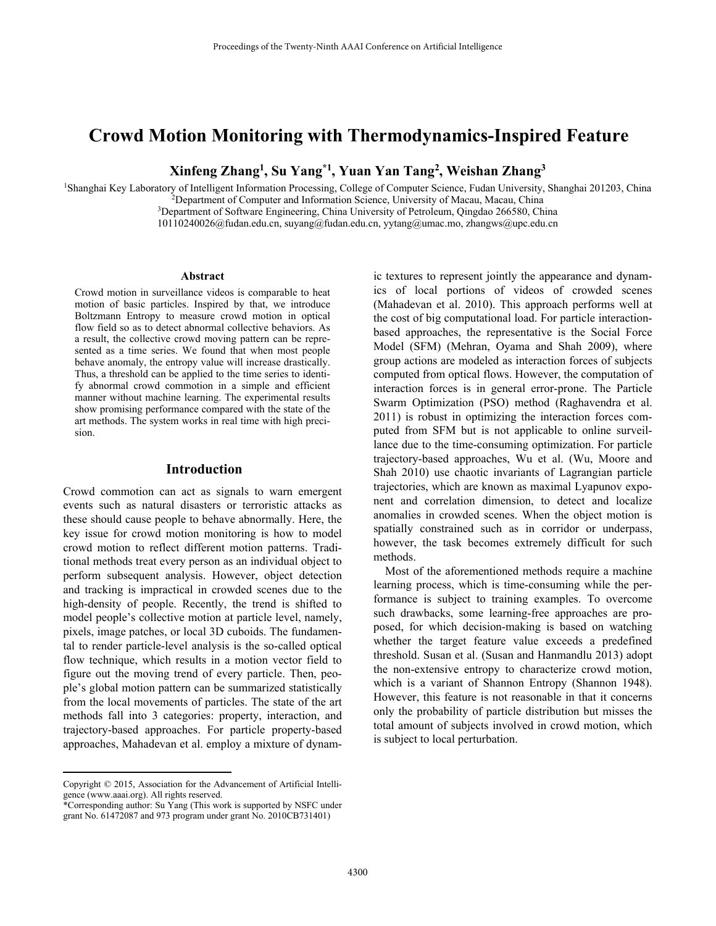# **Crowd Motion Monitoring with Thermodynamics-Inspired Feature**

**Xinfeng Zhang<sup>1</sup>, Su Yang<sup>\*1</sup>, Yuan Yan Tang<sup>2</sup>, Weishan Zhang<sup>3</sup>** 

<sup>1</sup>Shanghai Key Laboratory of Intelligent Information Processing, College of Computer Science, Fudan University, Shanghai 201203, China<br><sup>2</sup>Department of Computer and Information Science, University of Macau, Macau, China<br><sup></sup>

10110240026@fudan.edu.cn, suyang@fudan.edu.cn, yytang@umac.mo, zhangws@upc.edu.cn

#### **Abstract**

Crowd motion in surveillance videos is comparable to heat motion of basic particles. Inspired by that, we introduce Boltzmann Entropy to measure crowd motion in optical flow field so as to detect abnormal collective behaviors. As a result, the collective crowd moving pattern can be represented as a time series. We found that when most people behave anomaly, the entropy value will increase drastically. Thus, a threshold can be applied to the time series to identify abnormal crowd commotion in a simple and efficient manner without machine learning. The experimental results show promising performance compared with the state of the art methods. The system works in real time with high precision.

### **Introduction**

Crowd commotion can act as signals to warn emergent events such as natural disasters or terroristic attacks as these should cause people to behave abnormally. Here, the key issue for crowd motion monitoring is how to model crowd motion to reflect different motion patterns. Traditional methods treat every person as an individual object to perform subsequent analysis. However, object detection and tracking is impractical in crowded scenes due to the high-density of people. Recently, the trend is shifted to model people's collective motion at particle level, namely, pixels, image patches, or local 3D cuboids. The fundamental to render particle-level analysis is the so-called optical flow technique, which results in a motion vector field to figure out the moving trend of every particle. Then, people's global motion pattern can be summarized statistically from the local movements of particles. The state of the art methods fall into 3 categories: property, interaction, and trajectory-based approaches. For particle property-based approaches, Mahadevan et al. employ a mixture of dynam-

 $\overline{a}$ 

ic textures to represent jointly the appearance and dynamics of local portions of videos of crowded scenes (Mahadevan et al. 2010). This approach performs well at the cost of big computational load. For particle interactionbased approaches, the representative is the Social Force Model (SFM) (Mehran, Oyama and Shah 2009), where group actions are modeled as interaction forces of subjects computed from optical flows. However, the computation of interaction forces is in general error-prone. The Particle Swarm Optimization (PSO) method (Raghavendra et al. 2011) is robust in optimizing the interaction forces computed from SFM but is not applicable to online surveillance due to the time-consuming optimization. For particle trajectory-based approaches, Wu et al. (Wu, Moore and Shah 2010) use chaotic invariants of Lagrangian particle trajectories, which are known as maximal Lyapunov exponent and correlation dimension, to detect and localize anomalies in crowded scenes. When the object motion is spatially constrained such as in corridor or underpass, however, the task becomes extremely difficult for such methods.

 Most of the aforementioned methods require a machine learning process, which is time-consuming while the performance is subject to training examples. To overcome such drawbacks, some learning-free approaches are proposed, for which decision-making is based on watching whether the target feature value exceeds a predefined threshold. Susan et al. (Susan and Hanmandlu 2013) adopt the non-extensive entropy to characterize crowd motion, which is a variant of Shannon Entropy (Shannon 1948). However, this feature is not reasonable in that it concerns only the probability of particle distribution but misses the total amount of subjects involved in crowd motion, which is subject to local perturbation.

Copyright © 2015, Association for the Advancement of Artificial Intelligence (www.aaai.org). All rights reserved.

<sup>\*</sup>Corresponding author: Su Yang (This work is supported by NSFC under grant No. 61472087 and 973 program under grant No. 2010CB731401)